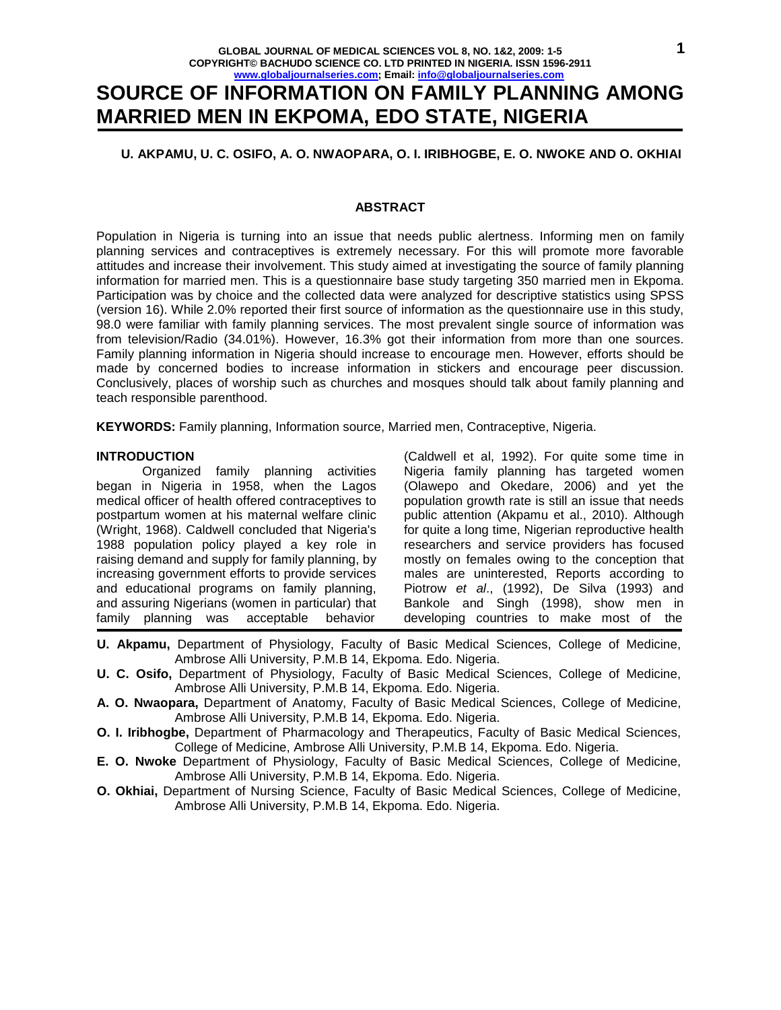# **SOURCE OF INFORMATION ON FAMILY PLANNING AMONG MARRIED MEN IN EKPOMA, EDO STATE, NIGERIA**

## **U. AKPAMU, U. C. OSIFO, A. O. NWAOPARA, O. I. IRIBHOGBE, E. O. NWOKE AND O. OKHIAI**

#### **ABSTRACT**

Population in Nigeria is turning into an issue that needs public alertness. Informing men on family planning services and contraceptives is extremely necessary. For this will promote more favorable attitudes and increase their involvement. This study aimed at investigating the source of family planning information for married men. This is a questionnaire base study targeting 350 married men in Ekpoma. Participation was by choice and the collected data were analyzed for descriptive statistics using SPSS (version 16). While 2.0% reported their first source of information as the questionnaire use in this study, 98.0 were familiar with family planning services. The most prevalent single source of information was from television/Radio (34.01%). However, 16.3% got their information from more than one sources. Family planning information in Nigeria should increase to encourage men. However, efforts should be made by concerned bodies to increase information in stickers and encourage peer discussion. Conclusively, places of worship such as churches and mosques should talk about family planning and teach responsible parenthood.

**KEYWORDS:** Family planning, Information source, Married men, Contraceptive, Nigeria.

#### **INTRODUCTION**

 Organized family planning activities began in Nigeria in 1958, when the Lagos medical officer of health offered contraceptives to postpartum women at his maternal welfare clinic (Wright, 1968). Caldwell concluded that Nigeria's 1988 population policy played a key role in raising demand and supply for family planning, by increasing government efforts to provide services and educational programs on family planning, and assuring Nigerians (women in particular) that family planning was acceptable behavior

(Caldwell et al, 1992). For quite some time in Nigeria family planning has targeted women (Olawepo and Okedare, 2006) and yet the population growth rate is still an issue that needs public attention (Akpamu et al., 2010). Although for quite a long time, Nigerian reproductive health researchers and service providers has focused mostly on females owing to the conception that males are uninterested, Reports according to Piotrow et al., (1992), De Silva (1993) and Bankole and Singh (1998), show men in developing countries to make most of the

- **U. Akpamu,** Department of Physiology, Faculty of Basic Medical Sciences, College of Medicine, Ambrose Alli University, P.M.B 14, Ekpoma. Edo. Nigeria.
- **U. C. Osifo,** Department of Physiology, Faculty of Basic Medical Sciences, College of Medicine, Ambrose Alli University, P.M.B 14, Ekpoma. Edo. Nigeria.
- **A. O. Nwaopara,** Department of Anatomy, Faculty of Basic Medical Sciences, College of Medicine, Ambrose Alli University, P.M.B 14, Ekpoma. Edo. Nigeria.
- **O. I. Iribhogbe,** Department of Pharmacology and Therapeutics, Faculty of Basic Medical Sciences, College of Medicine, Ambrose Alli University, P.M.B 14, Ekpoma. Edo. Nigeria.
- **E. O. Nwoke** Department of Physiology, Faculty of Basic Medical Sciences, College of Medicine, Ambrose Alli University, P.M.B 14, Ekpoma. Edo. Nigeria.
- **O. Okhiai,** Department of Nursing Science, Faculty of Basic Medical Sciences, College of Medicine, Ambrose Alli University, P.M.B 14, Ekpoma. Edo. Nigeria.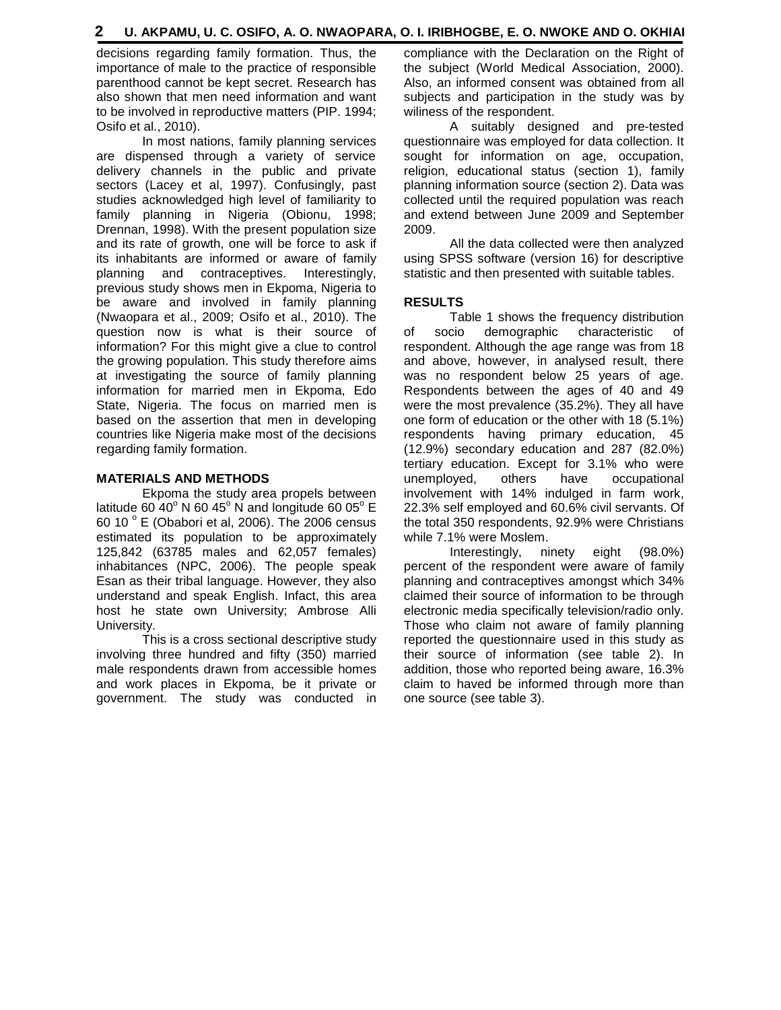decisions regarding family formation. Thus, the importance of male to the practice of responsible parenthood cannot be kept secret. Research has also shown that men need information and want to be involved in reproductive matters (PIP. 1994; Osifo et al., 2010).

 In most nations, family planning services are dispensed through a variety of service delivery channels in the public and private sectors (Lacey et al, 1997). Confusingly, past studies acknowledged high level of familiarity to family planning in Nigeria (Obionu, 1998; Drennan, 1998). With the present population size and its rate of growth, one will be force to ask if its inhabitants are informed or aware of family planning and contraceptives. Interestingly, previous study shows men in Ekpoma, Nigeria to be aware and involved in family planning (Nwaopara et al., 2009; Osifo et al., 2010). The question now is what is their source of information? For this might give a clue to control the growing population. This study therefore aims at investigating the source of family planning information for married men in Ekpoma, Edo State, Nigeria. The focus on married men is based on the assertion that men in developing countries like Nigeria make most of the decisions regarding family formation.

## **MATERIALS AND METHODS**

 Ekpoma the study area propels between latitude 60 40 $^{\circ}$  N 60 45 $^{\circ}$  N and longitude 60 05 $^{\circ}$  E 60 10 $^{\circ}$  E (Obabori et al, 2006). The 2006 census estimated its population to be approximately 125,842 (63785 males and 62,057 females) inhabitances (NPC, 2006). The people speak Esan as their tribal language. However, they also understand and speak English. Infact, this area host he state own University; Ambrose Alli University.

 This is a cross sectional descriptive study involving three hundred and fifty (350) married male respondents drawn from accessible homes and work places in Ekpoma, be it private or government. The study was conducted in compliance with the Declaration on the Right of the subject (World Medical Association, 2000). Also, an informed consent was obtained from all subjects and participation in the study was by wiliness of the respondent.

 A suitably designed and pre-tested questionnaire was employed for data collection. It sought for information on age, occupation, religion, educational status (section 1), family planning information source (section 2). Data was collected until the required population was reach and extend between June 2009 and September 2009.

 All the data collected were then analyzed using SPSS software (version 16) for descriptive statistic and then presented with suitable tables.

# **RESULTS**

Table 1 shows the frequency distribution of socio demographic characteristic of respondent. Although the age range was from 18 and above, however, in analysed result, there was no respondent below 25 years of age. Respondents between the ages of 40 and 49 were the most prevalence (35.2%). They all have one form of education or the other with 18 (5.1%) respondents having primary education, 45 (12.9%) secondary education and 287 (82.0%) tertiary education. Except for 3.1% who were unemployed, others have occupational involvement with 14% indulged in farm work, 22.3% self employed and 60.6% civil servants. Of the total 350 respondents, 92.9% were Christians while 7.1% were Moslem.

 Interestingly, ninety eight (98.0%) percent of the respondent were aware of family planning and contraceptives amongst which 34% claimed their source of information to be through electronic media specifically television/radio only. Those who claim not aware of family planning reported the questionnaire used in this study as their source of information (see table 2). In addition, those who reported being aware, 16.3% claim to haved be informed through more than one source (see table 3).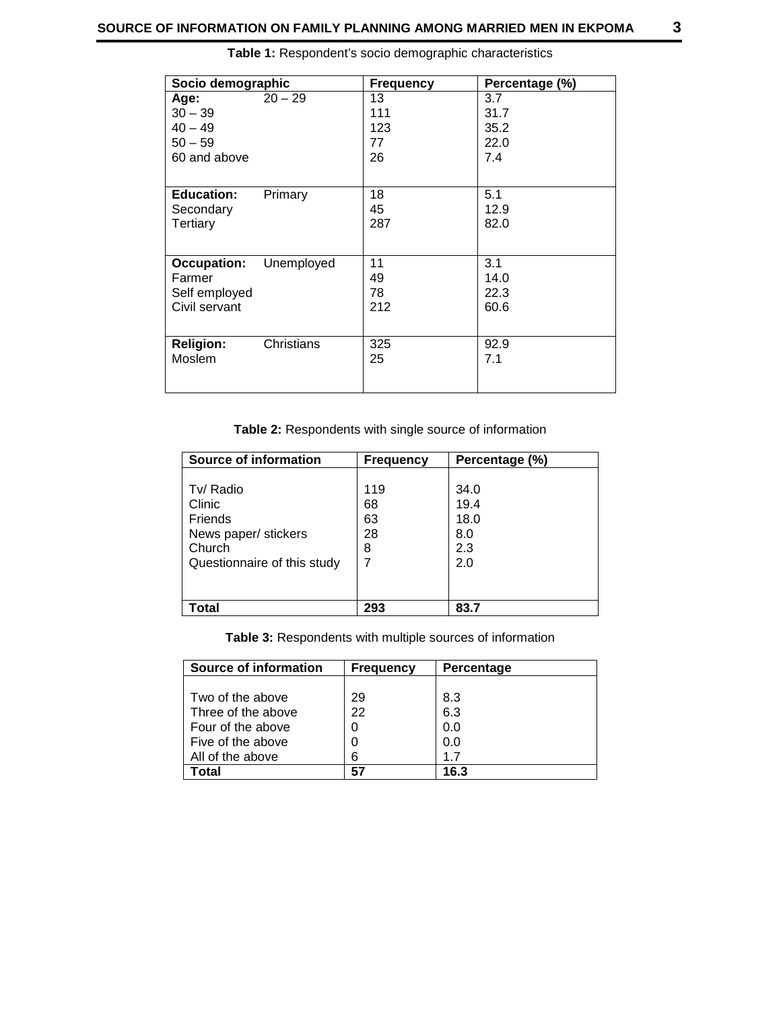| Socio demographic  |            | <b>Frequency</b> | Percentage (%) |
|--------------------|------------|------------------|----------------|
| Age:               | $20 - 29$  | 13               | 3.7            |
| $30 - 39$          |            | 111              | 31.7           |
| $40 - 49$          |            | 123              | 35.2           |
| $50 - 59$          |            | 77               | 22.0           |
| 60 and above       |            | 26               | 7.4            |
|                    |            |                  |                |
| <b>Education:</b>  | Primary    | 18               | 5.1            |
| Secondary          |            | 45               | 12.9           |
| Tertiary           |            | 287              | 82.0           |
|                    |            |                  |                |
| <b>Occupation:</b> | Unemployed | 11               | 3.1            |
| Farmer             |            | 49               | 14.0           |
| Self employed      |            | 78               | 22.3           |
| Civil servant      |            | 212              | 60.6           |
|                    |            |                  |                |
| <b>Religion:</b>   | Christians | 325              | 92.9           |
| Moslem             |            | 25               | 7.1            |
|                    |            |                  |                |

**Table 1:** Respondent's socio demographic characteristics

**Table 2:** Respondents with single source of information

| Source of information       | <b>Frequency</b> | Percentage (%) |
|-----------------------------|------------------|----------------|
|                             |                  |                |
| Tv/ Radio                   | 119              | 34.0           |
| Clinic                      | 68               | 19.4           |
| <b>Friends</b>              | 63               | 18.0           |
| News paper/ stickers        | 28               | 8.0            |
| Church                      | 8                | 2.3            |
| Questionnaire of this study |                  | 2.0            |
|                             |                  |                |
|                             |                  |                |
| Total                       | 293              | 83.7           |

**Table 3:** Respondents with multiple sources of information

| Source of information | <b>Frequency</b> | Percentage |
|-----------------------|------------------|------------|
|                       |                  |            |
| Two of the above      | 29               | 8.3        |
| Three of the above    | 22               | 6.3        |
| Four of the above     | 0                | 0.0        |
| Five of the above     | 0                | 0.0        |
| All of the above      | 6                | 17         |
| <b>otal</b>           | 57               | 16.3       |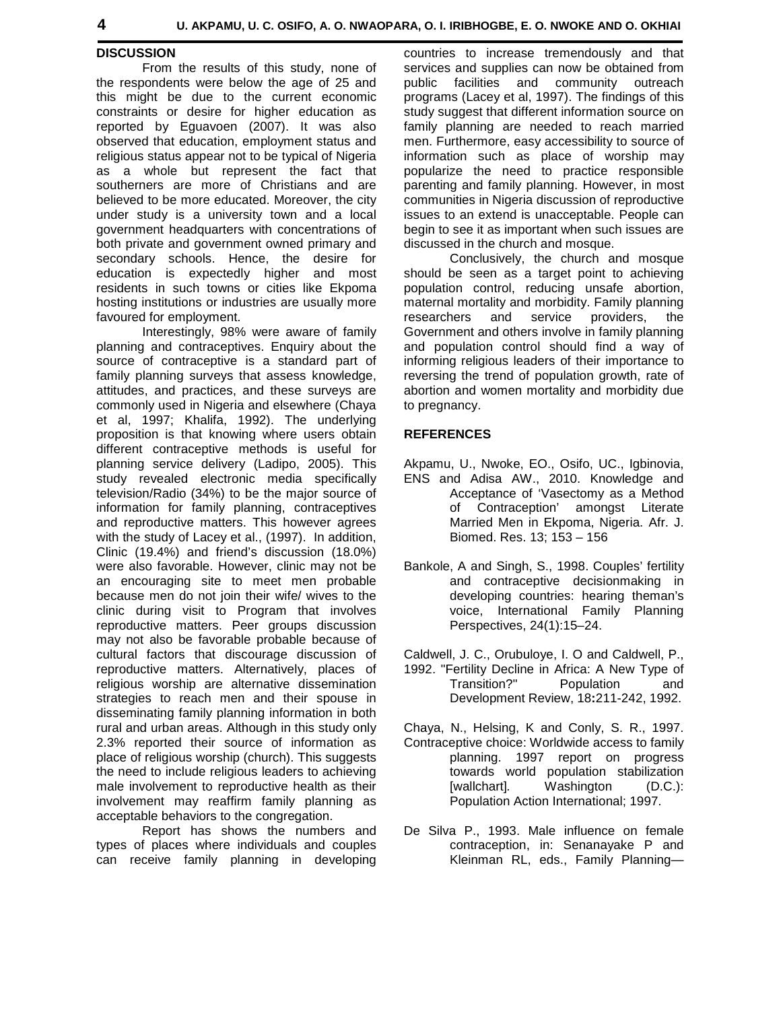#### **DISCUSSION**

 From the results of this study, none of the respondents were below the age of 25 and this might be due to the current economic constraints or desire for higher education as reported by Eguavoen (2007). It was also observed that education, employment status and religious status appear not to be typical of Nigeria as a whole but represent the fact that southerners are more of Christians and are believed to be more educated. Moreover, the city under study is a university town and a local government headquarters with concentrations of both private and government owned primary and secondary schools. Hence, the desire for education is expectedly higher and most residents in such towns or cities like Ekpoma hosting institutions or industries are usually more favoured for employment.

 Interestingly, 98% were aware of family planning and contraceptives. Enquiry about the source of contraceptive is a standard part of family planning surveys that assess knowledge, attitudes, and practices, and these surveys are commonly used in Nigeria and elsewhere (Chaya et al, 1997; Khalifa, 1992). The underlying proposition is that knowing where users obtain different contraceptive methods is useful for planning service delivery (Ladipo, 2005). This study revealed electronic media specifically television/Radio (34%) to be the major source of information for family planning, contraceptives and reproductive matters. This however agrees with the study of Lacey et al., (1997). In addition, Clinic (19.4%) and friend's discussion (18.0%) were also favorable. However, clinic may not be an encouraging site to meet men probable because men do not join their wife/ wives to the clinic during visit to Program that involves reproductive matters. Peer groups discussion may not also be favorable probable because of cultural factors that discourage discussion of reproductive matters. Alternatively, places of religious worship are alternative dissemination strategies to reach men and their spouse in disseminating family planning information in both rural and urban areas. Although in this study only 2.3% reported their source of information as place of religious worship (church). This suggests the need to include religious leaders to achieving male involvement to reproductive health as their involvement may reaffirm family planning as acceptable behaviors to the congregation.

 Report has shows the numbers and types of places where individuals and couples can receive family planning in developing countries to increase tremendously and that services and supplies can now be obtained from public facilities and community outreach programs (Lacey et al, 1997). The findings of this study suggest that different information source on family planning are needed to reach married men. Furthermore, easy accessibility to source of information such as place of worship may popularize the need to practice responsible parenting and family planning. However, in most communities in Nigeria discussion of reproductive issues to an extend is unacceptable. People can begin to see it as important when such issues are discussed in the church and mosque.

 Conclusively, the church and mosque should be seen as a target point to achieving population control, reducing unsafe abortion, maternal mortality and morbidity. Family planning researchers and service providers, the Government and others involve in family planning and population control should find a way of informing religious leaders of their importance to reversing the trend of population growth, rate of abortion and women mortality and morbidity due to pregnancy.

### **REFERENCES**

- Akpamu, U., Nwoke, EO., Osifo, UC., Igbinovia, ENS and Adisa AW., 2010. Knowledge and Acceptance of 'Vasectomy as a Method of Contraception' amongst Literate Married Men in Ekpoma, Nigeria. Afr. J. Biomed. Res. 13; 153 – 156
- Bankole, A and Singh, S., 1998. Couples' fertility and contraceptive decisionmaking in developing countries: hearing theman's voice, International Family Planning Perspectives, 24(1):15–24.
- Caldwell, J. C., Orubuloye, I. O and Caldwell, P., 1992. "Fertility Decline in Africa: A New Type of Transition?" Population and
- Development Review, 18**:**211-242, 1992. Chaya, N., Helsing, K and Conly, S. R., 1997.
- Contraceptive choice: Worldwide access to family planning. 1997 report on progress towards world population stabilization [wallchart]. Washington (D.C.): Population Action International; 1997.
- De Silva P., 1993. Male influence on female contraception, in: Senanayake P and Kleinman RL, eds., Family Planning—